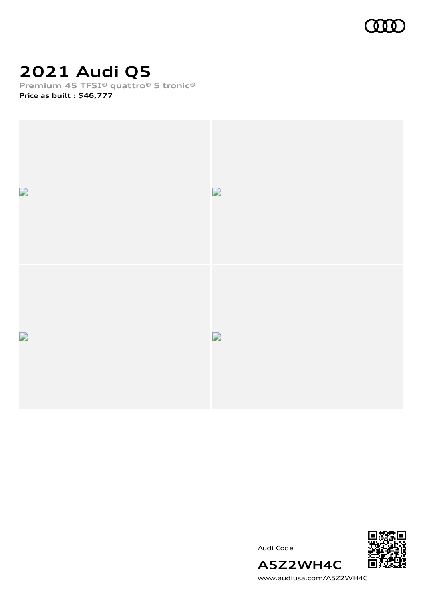

# **2021 Audi Q5**

**Premium 45 TFSI® quattro® S tronic® Price as built [:](#page-10-0) \$46,777**



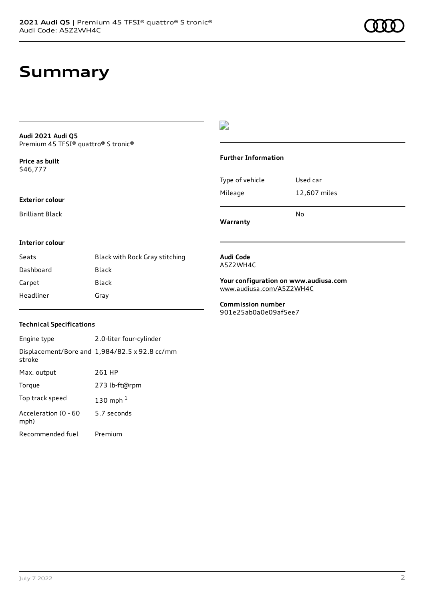# **Summary**

### **Audi 2021 Audi Q5** Premium 45 TFSI® quattro® S tronic®

**Price as buil[t](#page-10-0)** \$46,777

### **Exterior colour**

Brilliant Black

## $\overline{\phantom{a}}$

### **Further Information**

|                 | N٥           |
|-----------------|--------------|
| Mileage         | 12,607 miles |
| Type of vehicle | Used car     |

## **Warranty**

### **Interior colour**

| Seats     | Black with Rock Gray stitching |
|-----------|--------------------------------|
| Dashboard | Black                          |
| Carpet    | Black                          |
| Headliner | Gray                           |

### **Audi Code** A5Z2WH4C

**Your configuration on www.audiusa.com** [www.audiusa.com/A5Z2WH4C](https://www.audiusa.com/A5Z2WH4C)

**Commission number** 901e25ab0a0e09af5ee7

### **Technical Specifications**

| Engine type                  | 2.0-liter four-cylinder                       |
|------------------------------|-----------------------------------------------|
| stroke                       | Displacement/Bore and 1,984/82.5 x 92.8 cc/mm |
| Max. output                  | 261 HP                                        |
| Torque                       | 273 lb-ft@rpm                                 |
| Top track speed              | 130 mph $1$                                   |
| Acceleration (0 - 60<br>mph) | 5.7 seconds                                   |
| Recommended fuel             | Premium                                       |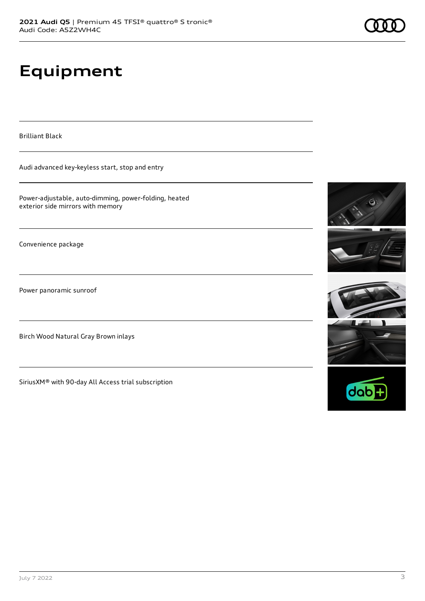# **Equipment**

Brilliant Black

Audi advanced key-keyless start, stop and entry

Power-adjustable, auto-dimming, power-folding, heated exterior side mirrors with memory

Convenience package

Power panoramic sunroof

Birch Wood Natural Gray Brown inlays

SiriusXM® with 90-day All Access trial subscription







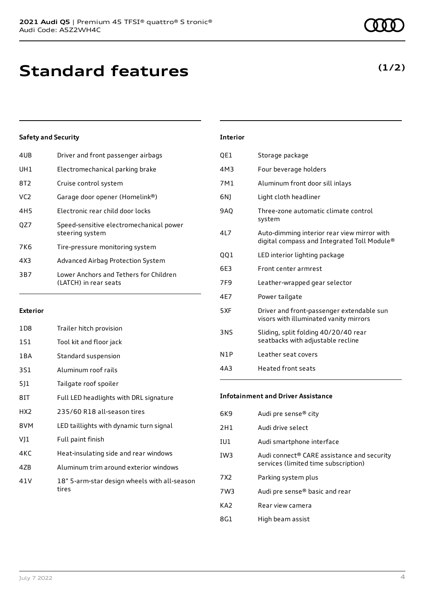| 4UB             | Driver and front passenger airbags                              |
|-----------------|-----------------------------------------------------------------|
| UH1             | Electromechanical parking brake                                 |
| 8T2             | Cruise control system                                           |
| VC <sub>2</sub> | Garage door opener (Homelink®)                                  |
| 4H5             | Electronic rear child door locks                                |
| OZ7             | Speed-sensitive electromechanical power<br>steering system      |
| 7K6             | Tire-pressure monitoring system                                 |
| 4X3             | Advanced Airbag Protection System                               |
| 3B7             | Lower Anchors and Tethers for Children<br>(LATCH) in rear seats |
|                 |                                                                 |

### **Exterior**

| 1D8             | Trailer hitch provision                               |
|-----------------|-------------------------------------------------------|
| 1S1             | Tool kit and floor jack                               |
| 1 B A           | Standard suspension                                   |
| 3S1             | Aluminum roof rails                                   |
| 5]1             | Tailgate roof spoiler                                 |
| 8IT             | Full LED headlights with DRL signature                |
| HX <sub>2</sub> | 235/60 R18 all-season tires                           |
| 8VM             | LED taillights with dynamic turn signal               |
| VJ1             | Full paint finish                                     |
| 4KC             | Heat-insulating side and rear windows                 |
| 47 <sub>B</sub> | Aluminum trim around exterior windows                 |
| 41 V            | 18" 5-arm-star design wheels with all-season<br>tires |

# 4M3 Four beverage holders 7M1 Aluminum front door sill inlays 6NJ Light cloth headliner 9AQ Three-zone automatic climate control system 4L7 Auto-dimming interior rear view mirror with digital compass and Integrated Toll Module® QQ1 LED interior lighting package 6E3 Front center armrest 7F9 Leather-wrapped gear selector 4E7 Power tailgate 5XF Driver and front-passenger extendable sun visors with illuminated vanity mirrors 3NS Sliding, split folding 40/20/40 rear

N1P Leather seat covers 4A3 Heated front seats

**Infotainment and Driver Assistance**

QE1 Storage package

**Interior**

| 6K9 | Audi pre sense <sup>®</sup> city                                                               |
|-----|------------------------------------------------------------------------------------------------|
| 2H1 | Audi drive select                                                                              |
| IU1 | Audi smartphone interface                                                                      |
| IW3 | Audi connect <sup>®</sup> CARE assistance and security<br>services (limited time subscription) |
| 7X2 | Parking system plus                                                                            |
| 7W3 | Audi pre sense® basic and rear                                                                 |
| KA2 | Rear view camera                                                                               |
| 8G1 | High beam assist                                                                               |
|     |                                                                                                |

seatbacks with adjustable recline

# **(1/2)**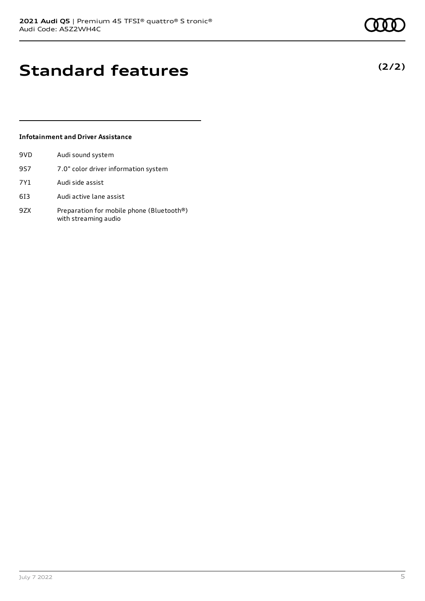**(2/2)**

# **Standard features**

### **Infotainment and Driver Assistance**

| 9VD | Audi sound system                                                 |
|-----|-------------------------------------------------------------------|
| 9S7 | 7.0" color driver information system                              |
| 7Y1 | Audi side assist                                                  |
| 613 | Audi active lane assist                                           |
| 9ZX | Preparation for mobile phone (Bluetooth®)<br>with streaming audio |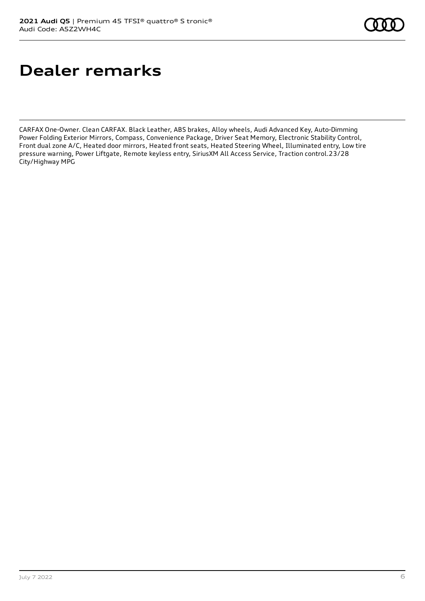# **Dealer remarks**

CARFAX One-Owner. Clean CARFAX. Black Leather, ABS brakes, Alloy wheels, Audi Advanced Key, Auto-Dimming Power Folding Exterior Mirrors, Compass, Convenience Package, Driver Seat Memory, Electronic Stability Control, Front dual zone A/C, Heated door mirrors, Heated front seats, Heated Steering Wheel, Illuminated entry, Low tire pressure warning, Power Liftgate, Remote keyless entry, SiriusXM All Access Service, Traction control.23/28 City/Highway MPG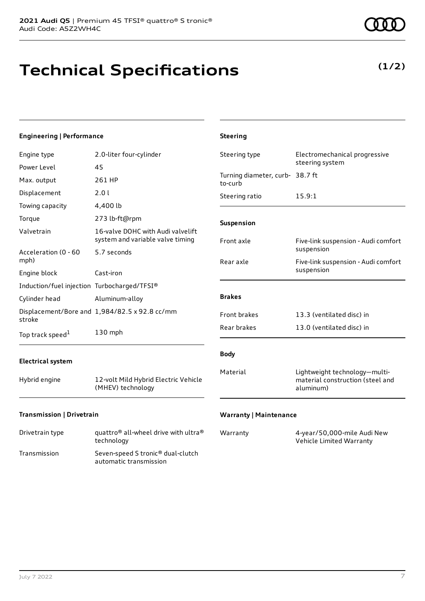# **Technical Specifications**

**(1/2)**

| <b>Engineering   Performance</b>            |                                                                       | <b>Steering</b>                 |                                                                                |
|---------------------------------------------|-----------------------------------------------------------------------|---------------------------------|--------------------------------------------------------------------------------|
| Engine type                                 | 2.0-liter four-cylinder                                               | Steering type                   | Electromechanical progressive<br>steering system                               |
| Power Level                                 | 45                                                                    | Turning diameter, curb- 38.7 ft |                                                                                |
| Max. output                                 | 261 HP                                                                | to-curb                         |                                                                                |
| Displacement                                | 2.0 l                                                                 | Steering ratio                  | 15.9:1                                                                         |
| Towing capacity                             | 4,400 lb                                                              |                                 |                                                                                |
| Torque                                      | 273 lb-ft@rpm                                                         | Suspension                      |                                                                                |
| Valvetrain                                  | 16-valve DOHC with Audi valvelift<br>system and variable valve timing | Front axle                      | Five-link suspension - Audi comfort                                            |
| Acceleration (0 - 60<br>mph)                | 5.7 seconds                                                           | Rear axle                       | suspension<br>Five-link suspension - Audi comfort                              |
| Engine block                                | Cast-iron                                                             |                                 | suspension                                                                     |
| Induction/fuel injection Turbocharged/TFSI® |                                                                       |                                 |                                                                                |
| Cylinder head                               | Aluminum-alloy                                                        | <b>Brakes</b>                   |                                                                                |
| stroke                                      | Displacement/Bore and 1,984/82.5 x 92.8 cc/mm                         | Front brakes                    | 13.3 (ventilated disc) in                                                      |
| Top track speed <sup>1</sup>                | 130 mph                                                               | Rear brakes                     | 13.0 (ventilated disc) in                                                      |
| <b>Electrical system</b>                    |                                                                       | <b>Body</b>                     |                                                                                |
| Hybrid engine                               | 12-volt Mild Hybrid Electric Vehicle<br>(MHEV) technology             | Material                        | Lightweight technology-multi-<br>material construction (steel and<br>aluminum) |
| Transmission   Drivetrain                   |                                                                       | <b>Warranty   Maintenance</b>   |                                                                                |

| Drivetrain type | quattro <sup>®</sup> all-wheel drive with ultra <sup>®</sup><br>technology |
|-----------------|----------------------------------------------------------------------------|
| Transmission    | Seven-speed S tronic <sup>®</sup> dual-clutch<br>automatic transmission    |

| Warranty | 4-year/50,000-mile Audi New |
|----------|-----------------------------|
|          | Vehicle Limited Warranty    |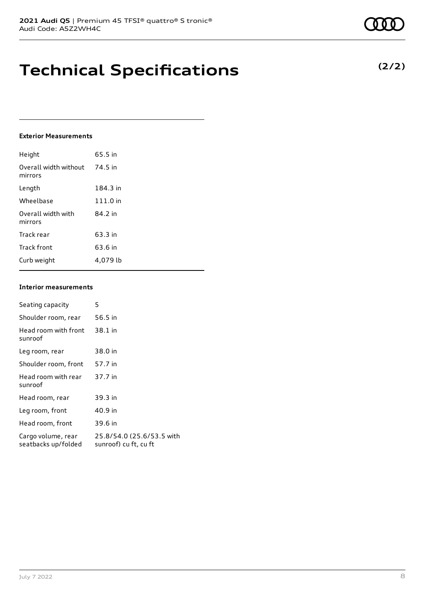# **Technical Specifications**

### **Exterior Measurements**

| Height                           | 65.5 in  |
|----------------------------------|----------|
| Overall width without<br>mirrors | 74.5 in  |
| Length                           | 184.3 in |
| Wheelbase                        | 111.0 in |
| Overall width with<br>mirrors    | 84.2 in  |
| Track rear                       | 63.3 in  |
| Track front                      | 63.6 in  |
| Curb weight                      | 4.079 lb |

### **Interior measurements**

| Seating capacity                          | 5                                                  |
|-------------------------------------------|----------------------------------------------------|
| Shoulder room, rear                       | 56.5 in                                            |
| Head room with front<br>sunroof           | 38.1 in                                            |
| Leg room, rear                            | 38.0 in                                            |
| Shoulder room, front                      | 57.7 in                                            |
| Head room with rear<br>sunroof            | 37.7 in                                            |
| Head room, rear                           | 39.3 in                                            |
| Leg room, front                           | 40.9 in                                            |
| Head room, front                          | 39.6 in                                            |
| Cargo volume, rear<br>seatbacks up/folded | 25.8/54.0 (25.6/53.5 with<br>sunroof) cu ft, cu ft |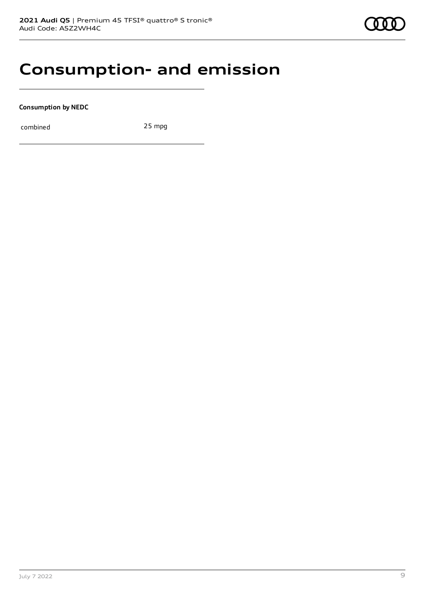# **Consumption- and emission**

**Consumption by NEDC**

combined 25 mpg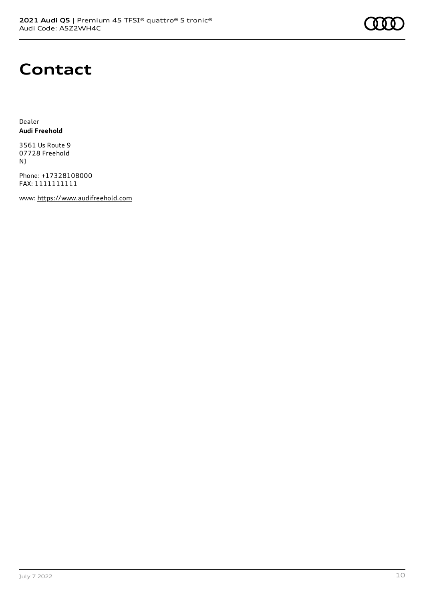

# **Contact**

Dealer **Audi Freehold**

3561 Us Route 9 07728 Freehold NJ

Phone: +17328108000 FAX: 1111111111

www: [https://www.audifreehold.com](https://www.audifreehold.com/)